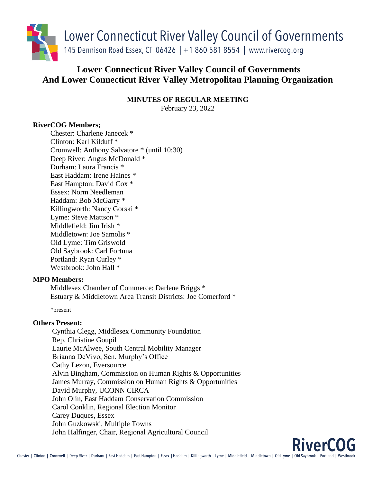

# **Lower Connecticut River Valley Council of Governments And Lower Connecticut River Valley Metropolitan Planning Organization**

**MINUTES OF REGULAR MEETING**

February 23, 2022

# **RiverCOG Members;**

Chester: Charlene Janecek \* Clinton: Karl Kilduff \* Cromwell: Anthony Salvatore \* (until 10:30) Deep River: Angus McDonald \* Durham: Laura Francis \* East Haddam: Irene Haines \* East Hampton: David Cox \* Essex: Norm Needleman Haddam: Bob McGarry \* Killingworth: Nancy Gorski \* Lyme: Steve Mattson \* Middlefield: Jim Irish \* Middletown: Joe Samolis \* Old Lyme: Tim Griswold Old Saybrook: Carl Fortuna Portland: Ryan Curley \* Westbrook: John Hall \*

# **MPO Members:**

Middlesex Chamber of Commerce: Darlene Briggs \* Estuary & Middletown Area Transit Districts: Joe Comerford \*

\*present

# **Others Present:**

Cynthia Clegg, Middlesex Community Foundation Rep. Christine Goupil Laurie McAlwee, South Central Mobility Manager Brianna DeVivo, Sen. Murphy's Office Cathy Lezon, Eversource Alvin Bingham, Commission on Human Rights & Opportunities James Murray, Commission on Human Rights & Opportunities David Murphy, UCONN CIRCA John Olin, East Haddam Conservation Commission Carol Conklin, Regional Election Monitor Carey Duques, Essex John Guzkowski, Multiple Towns John Halfinger, Chair, Regional Agricultural Council

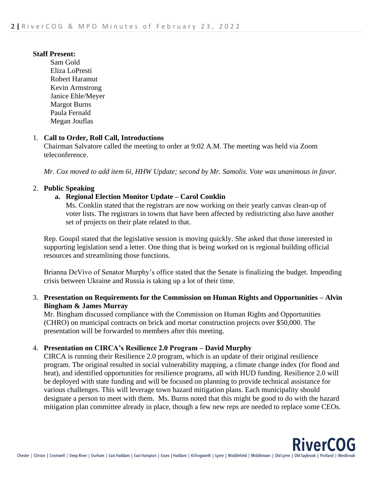## **Staff Present:**

Sam Gold Eliza LoPresti Robert Haramut Kevin Armstrong Janice Ehle/Meyer Margot Burns Paula Fernald Megan Jouflas

## 1. **Call to Order, Roll Call, Introductions**

Chairman Salvatore called the meeting to order at 9:02 A.M. The meeting was held via Zoom teleconference.

*Mr. Cox moved to add item 6i, HHW Update; second by Mr. Samolis. Vote was unanimous in favor.*

## 2. **Public Speaking**

## **a. Regional Election Monitor Update – Carol Conklin**

Ms. Conklin stated that the registrars are now working on their yearly canvas clean-up of voter lists. The registrars in towns that have been affected by redistricting also have another set of projects on their plate related to that.

Rep. Goupil stated that the legislative session is moving quickly. She asked that those interested in supporting legislation send a letter. One thing that is being worked on is regional building official resources and streamlining those functions.

Brianna DeVivo of Senator Murphy's office stated that the Senate is finalizing the budget. Impending crisis between Ukraine and Russia is taking up a lot of their time.

## 3. **Presentation on Requirements for the Commission on Human Rights and Opportunities – Alvin Bingham & James Murray**

Mr. Bingham discussed compliance with the Commission on Human Rights and Opportunities (CHRO) on municipal contracts on brick and mortar construction projects over \$50,000. The presentation will be forwarded to members after this meeting.

#### 4. **Presentation on CIRCA's Resilience 2.0 Program – David Murphy**

CIRCA is running their Resilience 2.0 program, which is an update of their original resilience program. The original resulted in social vulnerability mapping, a climate change index (for flood and heat), and identified opportunities for resilience programs, all with HUD funding. Resilience 2.0 will be deployed with state funding and will be focused on planning to provide technical assistance for various challenges. This will leverage town hazard mitigation plans. Each municipality should designate a person to meet with them. Ms. Burns noted that this might be good to do with the hazard mitigation plan committee already in place, though a few new reps are needed to replace some CEOs.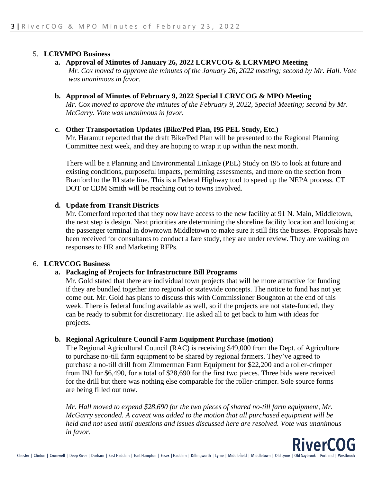## 5. **LCRVMPO Business**

#### **a. Approval of Minutes of January 26, 2022 LCRVCOG & LCRVMPO Meeting**

*Mr. Cox moved to approve the minutes of the January 26, 2022 meeting; second by Mr. Hall. Vote was unanimous in favor.*

#### **b. Approval of Minutes of February 9, 2022 Special LCRVCOG & MPO Meeting**

*Mr. Cox moved to approve the minutes of the February 9, 2022, Special Meeting; second by Mr. McGarry. Vote was unanimous in favor.*

#### **c. Other Transportation Updates (Bike/Ped Plan, I95 PEL Study, Etc.)**

Mr. Haramut reported that the draft Bike/Ped Plan will be presented to the Regional Planning Committee next week, and they are hoping to wrap it up within the next month.

There will be a Planning and Environmental Linkage (PEL) Study on I95 to look at future and existing conditions, purposeful impacts, permitting assessments, and more on the section from Branford to the RI state line. This is a Federal Highway tool to speed up the NEPA process. CT DOT or CDM Smith will be reaching out to towns involved.

## **d. Update from Transit Districts**

Mr. Comerford reported that they now have access to the new facility at 91 N. Main, Middletown, the next step is design. Next priorities are determining the shoreline facility location and looking at the passenger terminal in downtown Middletown to make sure it still fits the busses. Proposals have been received for consultants to conduct a fare study, they are under review. They are waiting on responses to HR and Marketing RFPs.

#### 6. **LCRVCOG Business**

## **a. Packaging of Projects for Infrastructure Bill Programs**

Mr. Gold stated that there are individual town projects that will be more attractive for funding if they are bundled together into regional or statewide concepts. The notice to fund has not yet come out. Mr. Gold has plans to discuss this with Commissioner Boughton at the end of this week. There is federal funding available as well, so if the projects are not state-funded, they can be ready to submit for discretionary. He asked all to get back to him with ideas for projects.

#### **b. Regional Agriculture Council Farm Equipment Purchase (motion)**

The Regional Agricultural Council (RAC) is receiving \$49,000 from the Dept. of Agriculture to purchase no-till farm equipment to be shared by regional farmers. They've agreed to purchase a no-till drill from Zimmerman Farm Equipment for \$22,200 and a roller-crimper from INJ for \$6,490, for a total of \$28,690 for the first two pieces. Three bids were received for the drill but there was nothing else comparable for the roller-crimper. Sole source forms are being filled out now.

*Mr. Hall moved to expend \$28,690 for the two pieces of shared no-till farm equipment, Mr. McGarry seconded. A caveat was added to the motion that all purchased equipment will be held and not used until questions and issues discussed here are resolved. Vote was unanimous in favor.*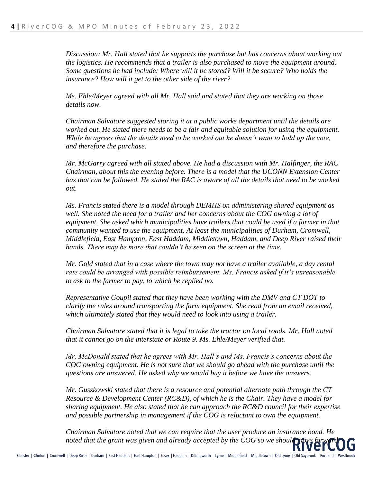*Discussion: Mr. Hall stated that he supports the purchase but has concerns about working out the logistics. He recommends that a trailer is also purchased to move the equipment around. Some questions he had include: Where will it be stored? Will it be secure? Who holds the insurance? How will it get to the other side of the river?* 

*Ms. Ehle/Meyer agreed with all Mr. Hall said and stated that they are working on those details now.*

*Chairman Salvatore suggested storing it at a public works department until the details are worked out. He stated there needs to be a fair and equitable solution for using the equipment. While he agrees that the details need to be worked out he doesn't want to hold up the vote, and therefore the purchase.* 

*Mr. McGarry agreed with all stated above. He had a discussion with Mr. Halfinger, the RAC Chairman, about this the evening before. There is a model that the UCONN Extension Center has that can be followed. He stated the RAC is aware of all the details that need to be worked out.*

*Ms. Francis stated there is a model through DEMHS on administering shared equipment as well. She noted the need for a trailer and her concerns about the COG owning a lot of equipment. She asked which municipalities have trailers that could be used if a farmer in that community wanted to use the equipment. At least the municipalities of Durham, Cromwell, Middlefield, East Hampton, East Haddam, Middletown, Haddam, and Deep River raised their hands. There may be more that couldn't be seen on the screen at the time.*

*Mr. Gold stated that in a case where the town may not have a trailer available, a day rental rate could be arranged with possible reimbursement. Ms. Francis asked if it's unreasonable to ask to the farmer to pay, to which he replied no.* 

*Representative Goupil stated that they have been working with the DMV and CT DOT to clarify the rules around transporting the farm equipment. She read from an email received, which ultimately stated that they would need to look into using a trailer.* 

*Chairman Salvatore stated that it is legal to take the tractor on local roads. Mr. Hall noted that it cannot go on the interstate or Route 9. Ms. Ehle/Meyer verified that.* 

*Mr. McDonald stated that he agrees with Mr. Hall's and Ms. Francis's concerns about the COG owning equipment. He is not sure that we should go ahead with the purchase until the questions are answered. He asked why we would buy it before we have the answers.*

*Mr. Guszkowski stated that there is a resource and potential alternate path through the CT Resource & Development Center (RC&D), of which he is the Chair. They have a model for sharing equipment. He also stated that he can approach the RC&D council for their expertise and possible partnership in management if the COG is reluctant to own the equipment.*

*Chairman Salvatore noted that we can require that the user produce an insurance bond. He noted that the grant was given and already accepted by the COG so we should many*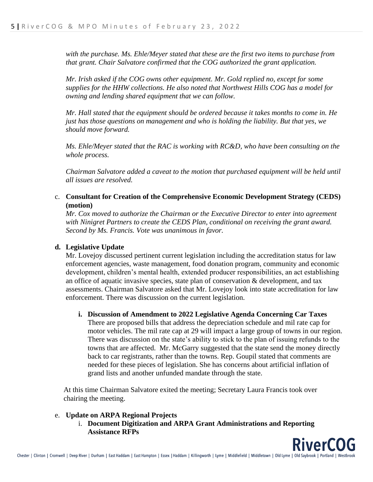*with the purchase. Ms. Ehle/Meyer stated that these are the first two items to purchase from that grant. Chair Salvatore confirmed that the COG authorized the grant application.*

*Mr. Irish asked if the COG owns other equipment. Mr. Gold replied no, except for some supplies for the HHW collections. He also noted that Northwest Hills COG has a model for owning and lending shared equipment that we can follow.* 

*Mr. Hall stated that the equipment should be ordered because it takes months to come in. He just has those questions on management and who is holding the liability. But that yes, we should move forward.* 

*Ms. Ehle/Meyer stated that the RAC is working with RC&D, who have been consulting on the whole process.* 

*Chairman Salvatore added a caveat to the motion that purchased equipment will be held until all issues are resolved.* 

## c. **Consultant for Creation of the Comprehensive Economic Development Strategy (CEDS) (motion)**

*Mr. Cox moved to authorize the Chairman or the Executive Director to enter into agreement with Ninigret Partners to create the CEDS Plan, conditional on receiving the grant award. Second by Ms. Francis. Vote was unanimous in favor.*

## **d. Legislative Update**

Mr. Lovejoy discussed pertinent current legislation including the accreditation status for law enforcement agencies, waste management, food donation program, community and economic development, children's mental health, extended producer responsibilities, an act establishing an office of aquatic invasive species, state plan of conservation & development, and tax assessments. Chairman Salvatore asked that Mr. Lovejoy look into state accreditation for law enforcement. There was discussion on the current legislation.

#### **i. Discussion of Amendment to 2022 Legislative Agenda Concerning Car Taxes**

There are proposed bills that address the depreciation schedule and mil rate cap for motor vehicles. The mil rate cap at 29 will impact a large group of towns in our region. There was discussion on the state's ability to stick to the plan of issuing refunds to the towns that are affected. Mr. McGarry suggested that the state send the money directly back to car registrants, rather than the towns. Rep. Goupil stated that comments are needed for these pieces of legislation. She has concerns about artificial inflation of grand lists and another unfunded mandate through the state.

At this time Chairman Salvatore exited the meeting; Secretary Laura Francis took over chairing the meeting.

#### e. **Update on ARPA Regional Projects**

i. **Document Digitization and ARPA Grant Administrations and Reporting Assistance RFPs**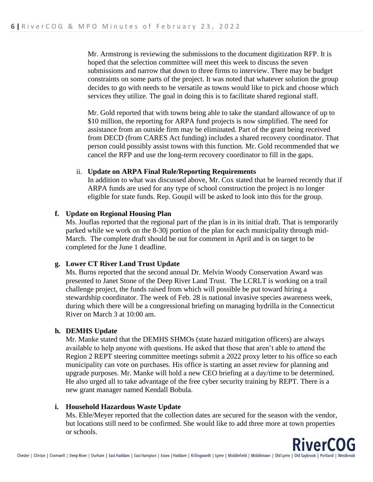Mr. Armstrong is reviewing the submissions to the document digitization RFP. It is hoped that the selection committee will meet this week to discuss the seven submissions and narrow that down to three firms to interview. There may be budget constraints on some parts of the project. It was noted that whatever solution the group decides to go with needs to be versatile as towns would like to pick and choose which services they utilize. The goal in doing this is to facilitate shared regional staff.

Mr. Gold reported that with towns being able to take the standard allowance of up to \$10 million, the reporting for ARPA fund projects is now simplified. The need for assistance from an outside firm may be eliminated. Part of the grant being received from DECD (from CARES Act funding) includes a shared recovery coordinator. That person could possibly assist towns with this function. Mr. Gold recommended that we cancel the RFP and use the long-term recovery coordinator to fill in the gaps.

## ii. **Update on ARPA Final Rule/Reporting Requirements**

In addition to what was discussed above, Mr. Cox stated that he learned recently that if ARPA funds are used for any type of school construction the project is no longer eligible for state funds. Rep. Goupil will be asked to look into this for the group.

## **f. Update on Regional Housing Plan**

Ms. Jouflas reported that the regional part of the plan is in its initial draft. That is temporarily parked while we work on the 8-30j portion of the plan for each municipality through mid-March. The complete draft should be out for comment in April and is on target to be completed for the June 1 deadline.

## **g. Lower CT River Land Trust Update**

Ms. Burns reported that the second annual Dr. Melvin Woody Conservation Award was presented to Janet Stone of the Deep River Land Trust. The LCRLT is working on a trail challenge project, the funds raised from which will possible be put toward hiring a stewardship coordinator. The week of Feb. 28 is national invasive species awareness week, during which there will be a congressional briefing on managing hydrilla in the Connecticut River on March 3 at 10:00 am.

#### **h. DEMHS Update**

Mr. Manke stated that the DEMHS SHMOs (state hazard mitigation officers) are always available to help anyone with questions. He asked that those that aren't able to attend the Region 2 REPT steering committee meetings submit a 2022 proxy letter to his office so each municipality can vote on purchases. His office is starting an asset review for planning and upgrade purposes. Mr. Manke will hold a new CEO briefing at a day/time to be determined. He also urged all to take advantage of the free cyber security training by REPT. There is a new grant manager named Kendall Bobula.

#### **i. Household Hazardous Waste Update**

Ms. Ehle/Meyer reported that the collection dates are secured for the season with the vendor, but locations still need to be confirmed. She would like to add three more at town properties or schools.